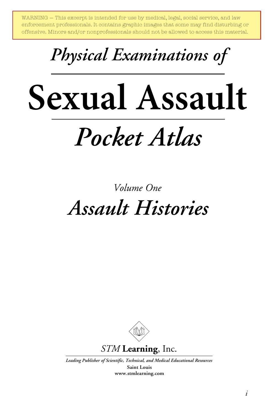WARNING — This excerpt is intended for use by medical, legal, social service, and law enforcement professionals. It contains graphic images that some may find disturbing or offensive. Minors and/or nonprofessionals should not be allowed to access this material.

# *Physical Examinations of*

# *Pocket Atlas* **Sexual Assault**

# *Assault Histories Volume One*



*Leading Publisher of Scientific, Technical, and Medical Educational Resources*

**Saint Louis www.stmlearning.com**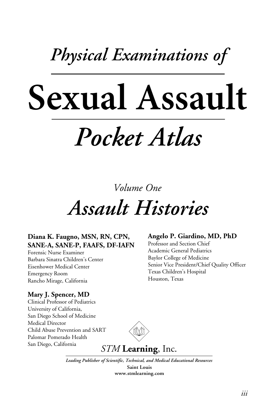# *Physical Examinations of*

# *Pocket Atlas* **Sexual Assault**

*Volume One*

# *Assault Histories*

### **Diana K. Faugno, MSN, RN, CPN, SANE-A, SANE-P, FAAFS, DF-IAFN**

Forensic Nurse Examiner Barbara Sinatra Children's Center Eisenhower Medical Center Emergency Room Rancho Mirage, California

### **Mary J. Spencer, MD**

Clinical Professor of Pediatrics University of California, San Diego School of Medicine Medical Director Child Abuse Prevention and SART Palomar Pomerado Health San Diego, California



## *STM* **Learning**, Inc.

*Leading Publisher of Scientific, Technical, and Medical Educational Resources*

**Saint Louis www.stmlearning.com**

### **Angelo P. Giardino, MD, PhD**

Professor and Section Chief Academic General Pediatrics Baylor College of Medicine Senior Vice President/Chief Quality Officer Texas Children's Hospital Houston, Texas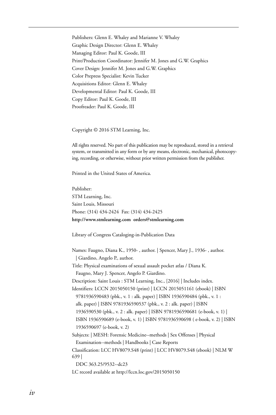Publishers: Glenn E. Whaley and Marianne V. Whaley Graphic Design Director: Glenn E. Whaley Managing Editor: Paul K. Goode, III Print/Production Coordinator: Jennifer M. Jones and G.W. Graphics Cover Design: Jennifer M. Jones and G.W. Graphics Color Prepress Specialist: Kevin Tucker Acquisitions Editor: Glenn E. Whaley Developmental Editor: Paul K. Goode, III Copy Editor: Paul K. Goode, III Proofreader: Paul K. Goode, III

Copyright © 2016 STM Learning, Inc.

All rights reserved. No part of this publication may be reproduced, stored in a retrieval system, or transmitted in any form or by any means, electronic, mechanical, photocopying, recording, or otherwise, without prior written permission from the publisher.

Printed in the United States of America.

Publisher: STM Learning, Inc. Saint Louis, Missouri Phone: (314) 434-2424 Fax: (314) 434-2425 **http://www.stmlearning.com orders@stmlearning.com**

Library of Congress Cataloging-in-Publication Data

Names: Faugno, Diana K., 1950- , author. | Spencer, Mary J., 1936- , author. | Giardino, Angelo P., author. Title: Physical examinations of sexual assault pocket atlas / Diana K. Faugno, Mary J. Spencer, Angelo P. Giardino. Description: Saint Louis : STM Learning, Inc., [2016] | Includes index. Identifiers: LCCN 2015050150 (print) | LCCN 2015051161 (ebook) | ISBN 9781936590483 (pbk., v. 1 : alk. paper) | ISBN 1936590484 (pbk., v. 1 : alk. paper) | ISBN 9781936590537 (pbk., v. 2 : alk. paper) | ISBN 1936590530 (pbk., v. 2 : alk. paper) | ISBN 9781936590681 (e-book, v. 1) | ISBN 1936590689 (e-book, v. 1) | ISBN 9781936590698 ( e-book, v. 2) | ISBN 1936590697 (e-book, v. 2) Subjects: | MESH: Forensic Medicine--methods | Sex Offenses | Physical Examination--methods | Handbooks | Case Reports Classification: LCC HV8079.S48 (print) | LCC HV8079.S48 (ebook) | NLM W 639 | DDC 363.25/9532--dc23

LC record available at http://lccn.loc.gov/2015050150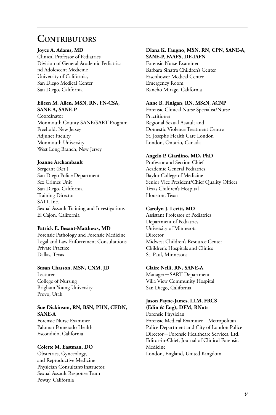### **Contributors**

### **Joyce A. Adams, MD**

Clinical Professor of Pediatrics Division of General Academic Pediatrics nd Adolescent Medicine University of California, San Diego Medical Center San Diego, California

#### **Eileen M. Allen, MSN, RN, FN-CSA, SANE-A, SANE-P**

Coordinator Monmouth County SANE/SART Program Freehold, New Jersey Adjunct Faculty Monmouth University West Long Branch, New Jersey

### **Joanne Archambault**

Sergeant (Ret.) San Diego Police Department Sex Crimes Unit San Diego, California Training Director SATI, Inc. Sexual Assault Training and Investigations El Cajon, California

### **Patrick E. Besant-Matthews, MD**

Forensic Pathology and Forensic Medicine Legal and Law Enforcement Consultations Private Practice Dallas, Texas

### **Susan Chasson, MSN, CNM, JD**

Lecturer College of Nursing Brigham Young University Provo, Utah

### **Sue Dickinson, RN, BSN, PHN, CEDN, SANE-A**

Forensic Nurse Examiner Palomar Pomerado Health Escondido, California

### **Colette M. Eastman, DO**

Obstetrics, Gynecology, and Reproductive Medicine Physician Consultant/Instructor, Sexual Assault Response Team Poway, California

### **Diana K. Faugno, MSN, RN, CPN, SANE-A, SANE-P, FAAFS, DF-IAFN**

Forensic Nurse Examiner Barbara Sinatra Children's Center Eisenhower Medical Center Emergency Room Rancho Mirage, California

### **Anne B. Finigan, RN, MScN, ACNP**

Forensic Clinical Nurse Specialist/Nurse Practitioner Regional Sexual Assault and Domestic Violence Treatment Centre St. Joseph's Health Care London London, Ontario, Canada

### **Angelo P. Giardino, MD, PhD**

Professor and Section Chief Academic General Pediatrics Baylor College of Medicine Senior Vice President/Chief Quality Officer Texas Children's Hospital Houston, Texas

### **Carolyn J. Levitt, MD**

Assistant Professor of Pediatrics Department of Pediatrics University of Minnesota Director Midwest Children's Resource Center Children's Hospitals and Clinics St. Paul, Minnesota

### **Claire Nelli, RN, SANE-A**

Manager*—*SART Department Villa View Community Hospital San Diego, California

### **Jason Payne-James, LLM, FRCS (Edin & Eng), DFM, RNutr**

Forensic Physician Forensic Medical Examiner*—*Metropolitan Police Department and City of London Police Director*—*Forensic Healthcare Services, Ltd. Editor-in-Chief, Journal of Clinical Forensic Medicine London, England, United Kingdom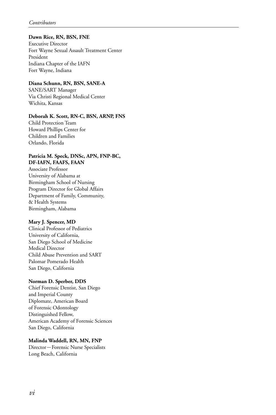### **Dawn Rice, RN, BSN, FNE**

Executive Director Fort Wayne Sexual Assault Treatment Center President Indiana Chapter of the IAFN Fort Wayne, Indiana

### **Diana Schunn, RN, BSN, SANE-A**

SANE/SART Manager Via Christi Regional Medical Center Wichita, Kansas

### **Deborah K. Scott, RN-C, BSN, ARNP, FNS**

Child Protection Team Howard Phillips Center for Children and Families Orlando, Florida

#### **Patricia M. Speck, DNSc, APN, FNP-BC, DF-IAFN, FAAFS, FAAN**

Associate Professor University of Alabama at Birmingham School of Nursing Program Director for Global Affairs Department of Family, Community, & Health Systems Birmingham, Alabama

### **Mary J. Spencer, MD**

Clinical Professor of Pediatrics University of California, San Diego School of Medicine Medical Director Child Abuse Prevention and SART Palomar Pomerado Health San Diego, California

### **Norman D. Sperber, DDS**

Chief Forensic Dentist, San Diego and Imperial County Diplomate, American Board of Forensic Odontology Distinguished Fellow, American Academy of Forensic Sciences San Diego, California

### **Malinda Waddell, RN, MN, FNP**

Director*—*Forensic Nurse Specialists Long Beach, California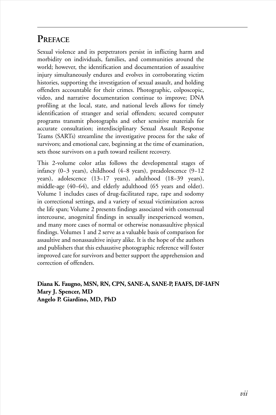# **Preface**

Sexual violence and its perpetrators persist in inflicting harm and morbidity on individuals, families, and communities around the world; however, the identification and documentation of assaultive injury simultaneously endures and evolves in corroborating victim histories, supporting the investigation of sexual assault, and holding offenders accountable for their crimes. Photographic, colposcopic, video, and narrative documentation continue to improve; DNA profiling at the local, state, and national levels allows for timely identification of stranger and serial offenders; secured computer programs transmit photographs and other sensitive materials for accurate consultation; interdisciplinary Sexual Assault Response Teams (SARTs) streamline the investigative process for the sake of survivors; and emotional care, beginning at the time of examination, sets those survivors on a path toward resilient recovery.

This 2-volume color atlas follows the developmental stages of infancy (0−3 years), childhood (4−8 years), preadolescence (9−12 years), adolescence (13−17 years), adulthood (18−39 years), middle-age (40−64), and elderly adulthood (65 years and older). Volume 1 includes cases of drug-facilitated rape, rape and sodomy in correctional settings, and a variety of sexual victimization across the life span; Volume 2 presents findings associated with consensual intercourse, anogenital findings in sexually inexperienced women, and many more cases of normal or otherwise nonassaultive physical findings. Volumes 1 and 2 serve as a valuable basis of comparison for assaultive and nonassaultive injury alike. It is the hope of the authors and publishers that this exhaustive photographic reference will foster improved care for survivors and better support the apprehension and correction of offenders.

**Diana K. Faugno, MSN, RN, CPN, SANE-A, SANE-P, FAAFS, DF-IAFN Mary J. Spencer, MD Angelo P. Giardino, MD, PhD**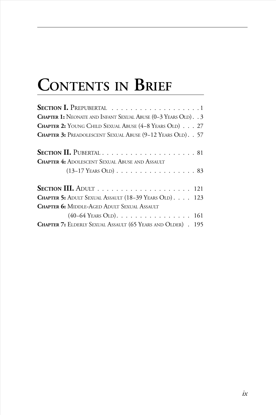# **Contents in Brief**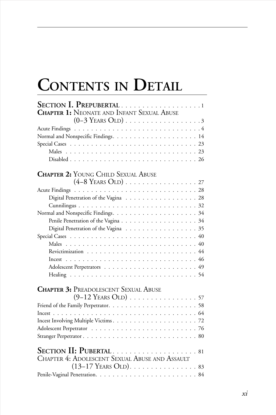# **Contents in Detail**

| SECTION I. PREPUBERTAL 1                                                        |
|---------------------------------------------------------------------------------|
| <b>CHAPTER 1: NEONATE AND INFANT SEXUAL ABUSE</b>                               |
|                                                                                 |
|                                                                                 |
|                                                                                 |
|                                                                                 |
|                                                                                 |
|                                                                                 |
| <b>CHAPTER 2: YOUNG CHILD SEXUAL ABUSE</b>                                      |
|                                                                                 |
|                                                                                 |
| Digital Penetration of the Vagina 28                                            |
|                                                                                 |
|                                                                                 |
|                                                                                 |
| Digital Penetration of the Vagina 35                                            |
|                                                                                 |
|                                                                                 |
|                                                                                 |
|                                                                                 |
|                                                                                 |
|                                                                                 |
| <b>CHAPTER 3: PREADOLESCENT SEXUAL ABUSE</b><br>$(9-12$ Years Old) 57           |
|                                                                                 |
|                                                                                 |
|                                                                                 |
|                                                                                 |
|                                                                                 |
| SECTION II: PUBERTAL81<br><b>CHAPTER 4: ADOLESCENT SEXUAL ABUSE AND ASSAULT</b> |
|                                                                                 |
|                                                                                 |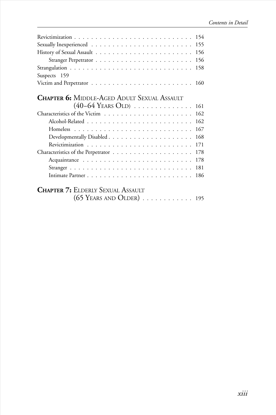| 154                                                                                   |
|---------------------------------------------------------------------------------------|
| 155                                                                                   |
| 156                                                                                   |
| 156                                                                                   |
| 158                                                                                   |
| Suspects 159                                                                          |
|                                                                                       |
| <b>Chapter 6:</b> Middle-Aged Adult Sexual Assault                                    |
| $(40-64 \text{ Years Old}) \dots \dots \dots \dots \dots \dots \dots \dots \dots 161$ |
| 162                                                                                   |
| 162                                                                                   |
| 167                                                                                   |
| 168                                                                                   |
| 171                                                                                   |
| 178                                                                                   |
| 178                                                                                   |
| 181                                                                                   |
| 186                                                                                   |
| <b>Chapter 7:</b> Elderly Sexual Assault                                              |
| $(65$ Years and Older) $\ldots \ldots \ldots \ldots 195$                              |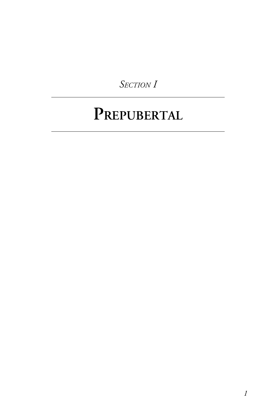*Section I*

# **Prepubertal**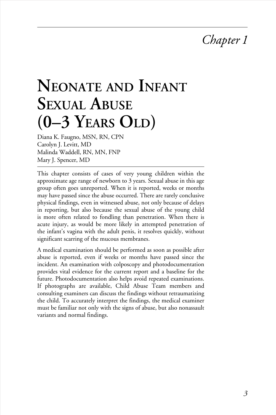# *Chapter 1*

# **Neonate and Infant Sexual Abuse (0–3 Years Old)**

Diana K. Faugno, MSN, RN, CPN Carolyn J. Levitt, MD Malinda Waddell, RN, MN, FNP Mary J. Spencer, MD

This chapter consists of cases of very young children within the approximate age range of newborn to 3 years. Sexual abuse in this age group often goes unreported. When it is reported, weeks or months may have passed since the abuse occurred. There are rarely conclusive physical findings, even in witnessed abuse, not only because of delays in reporting, but also because the sexual abuse of the young child is more often related to fondling than penetration. When there is acute injury, as would be more likely in attempted penetration of the infant's vagina with the adult penis, it resolves quickly, without significant scarring of the mucous membranes.

A medical examination should be performed as soon as possible after abuse is reported, even if weeks or months have passed since the incident. An examination with colposcopy and photodocumentation provides vital evidence for the current report and a baseline for the future. Photodocumentation also helps avoid repeated examinations. If photographs are available, Child Abuse Team members and consulting examiners can discuss the findings without retraumatizing the child. To accurately interpret the findings, the medical examiner must be familiar not only with the signs of abuse, but also nonassault variants and normal findings.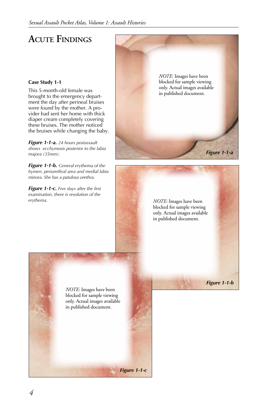# **ACUTE FINDINGS**

#### **Case Study 1-1**

This 5-month-old female was brought to the emergency department the day after perineal bruises were found by the mother. A provider had sent her home with thick diaper cream completely covering these bruises. The mother noticed the bruises while changing the baby.

*Figure 1-1-a. 24 hours postassault shows ecchymosis posterior to the labia majora (35mm).*

*Figure 1-1-b. General erythema of the hymen, periurethral area and medial labia minora. She has a patulous urethra.* 

*Figure 1-1-c. Five days after the first examination, there is resolution of the erythema.* 

*NOTE:* Images have been blocked for sample viewing only. Actual images available in published document.

*Figure 1-1-a*

*Figure 1-1-b*

*NOTE:* Images have been blocked for sample viewing only. Actual images available in published document.

*NOTE:* Images have been blocked for sample viewing only. Actual images available in published document.

*Figure 1-1-c*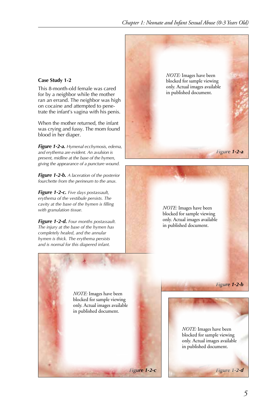#### **Case Study 1-2**

This 8-month-old female was cared for by a neighbor while the mother ran an errand. The neighbor was high on cocaine and attempted to penetrate the infant's vagina with his penis.

When the mother returned, the infant was crying and fussy. The mom found blood in her diaper.

*Figure 1-2-a. Hymenal ecchymosis, edema, and erythema are evident. An avulsion is present, midline at the base of the hymen, giving the appearance of a puncture wound.* 

*Figure 1-2-b. A laceration of the posterior fourchette from the perineum to the anus.* 

*Figure 1-2-c. Five days postassault, erythema of the vestibule persists. The cavity at the base of the hymen is filling with granulation tissue.* 

*Figure 1-2-d. Four months postassault. The injury at the base of the hymen has completely healed, and the annular hymen is thick. The erythema persists and is normal for this diapered infant.*

*Figure 1-2-a NOTE:* Images have been blocked for sample viewing only. Actual images available in published document.

> *NOTE:* Images have been blocked for sample viewing only. Actual images available in published document.

*NOTE:* Images have been blocked for sample viewing only. Actual images available in published document.

> *NOTE:* Images have been blocked for sample viewing only. Actual images available in published document.

*Figure 1-2-b*

*Figure 1-2-c Figure 1-2-d*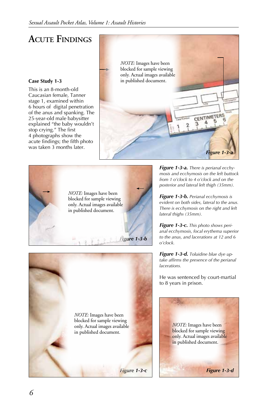# **ACUTE FINDINGS**

#### **Case Study 1-3**

This is an 8-month-old Caucasian female, Tanner stage 1, examined within 6 hours of digital penetration of the anus and spanking. The 25-year-old male babysitter explained "the baby wouldn't stop crying." The first 4 photographs show the acute findings; the fifth photo was taken 3 months later.







*Figure 1-3-a. There is perianal ecchymosis and ecchymosis on the left buttock from 1 o'clock to 4 o'clock and on the posterior and lateral left thigh (35mm).*

*Figure 1-3-b. Perianal ecchymosis is evident on both sides, lateral to the anus. There is ecchymosis on the right and left lateral thighs (35mm).*

*Figure 1-3-c. This photo shows perianal ecchymosis, focal erythema superior to the anus, and lacerations at 12 and 6 o'clock.* 

*Figure 1-3-d. Toluidine blue dye uptake affirms the presence of the perianal lacerations.* 

He was sentenced by court-martial to 8 years in prison.

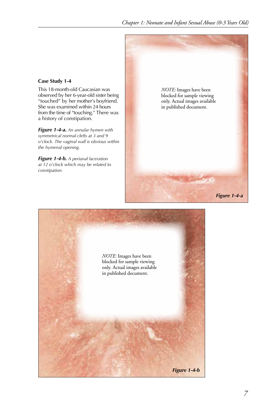#### **Case Study 1-4**

This 18-month-old Caucasian was observed by her 6-year-old sister being "touched" by her mother's boyfriend. She was examined within 24 hours from the time of "touching." There was a history of constipation.

*Figure 1-4-a. An annular hymen with symmetrical normal clefts at 3 and 9 o'clock. The vaginal wall is obvious within the hymenal opening.* 

*Figure 1-4-b. A perianal laceration at 12 o'clock which may be related to constipation.* 



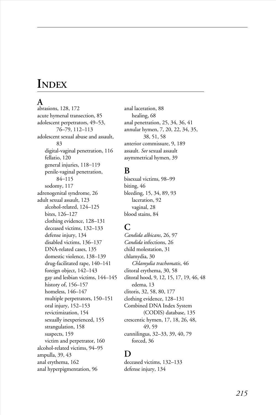# **Index**

### **A**

abrasions, 128, 172 acute hymenal transection, 85 adolescent perpetrators, 49–53, 76–79, 112–113 adolescent sexual abuse and assault, 83 digital-vaginal penetration, 116 fellatio, 120 general injuries, 118*–*119 penile-vaginal penetration, 84*–*115 sodomy, 117 adrenogenital syndrome, 26 adult sexual assault, 123 alcohol-related, 124–125 bites, 126–127 clothing evidence, 128–131 deceased victims, 132–133 defense injury, 134 disabled victims, 136–137 DNA-related cases, 135 domestic violence, 138–139 drug-facilitated rape, 140–141 foreign object, 142–143 gay and lesbian victims, 144–145 history of, 156–157 homeless, 146–147 multiple perpetrators, 150–151 oral injury, 152–153 revictimization, 154 sexually inexperienced, 155 strangulation, 158 suspects, 159 victim and perpetrator, 160 alcohol-related victims, 94–95 ampulla, 39, 43 anal erythema, 162 anal hyperpigmentation, 96

anal laceration, 88 healing, 68 anal penetration, 25, 34, 36, 41 annular hymen, 7, 20, 22, 34, 35, 38, 51, 58 anterior commissure, 9, 189 assault. *See* sexual assault asymmetrical hymen, 39

### **B**

bisexual victims, 98–99 biting, 46 bleeding, 15, 34, 89, 93 laceration, 92 vaginal, 28 blood stains, 84

# **C**

*Candida albicans*, 26, 97 *Candida* infections, 26 child molestation, 31 chlamydia, 30 *Chlamydia trachomatis*, 46 clitoral erythema, 30, 58 clitoral hood, 9, 12, 15, 17, 19, 46, 48 edema, 13 clitoris, 32, 58, 80, 177 clothing evidence, 128–131 Combined DNA Index System (CODIS) database, 135 crescentic hymen, 17, 18, 26, 48, 49, 59 cunnilingus, 32–33, 39, 40, 79 forced, 36

## **D**

deceased victims, 132–133 defense injury, 134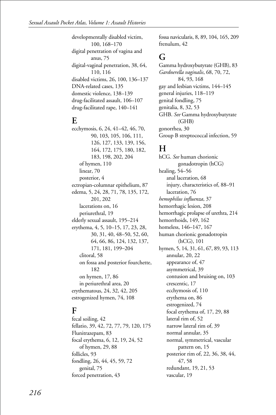developmentally disabled victim, 100, 168*–*170 digital penetration of vagina and anus, 75 digital-vaginal penetration, 38, 64, 110, 116 disabled victims, 26, 100, 136–137 DNA-related cases, 135 domestic violence, 138–139 drug-facilitated assault, 106–107 drug-facilitated rape, 140–141

### **E**

ecchymosis, 6, 24, 41–42, 46, 70, 90, 103, 105, 106, 111, 126, 127, 133, 139, 156, 164, 172, 175, 180, 182, 183, 198, 202, 204 of hymen, 110 linear, 70 posterior, 4 ectropian-columnar epithelium, 87 edema, 5, 24, 28, 71, 78, 135, 172, 201, 202 lacerations on, 16 periurethral, 19 elderly sexual assault, 195–214 erythema, 4, 5, 10–15, 17, 23, 28, 30, 31, 40, 48–50, 52, 60, 64, 66, 86, 124, 132, 137, 171, 181, 199*–*204 clitoral, 58 on fossa and posterior fourchette, 182 on hymen, 17, 86 in periurethral area, 20 erythematous, 24, 32, 42, 205 estrogenized hymen, 74, 108

# **F**

fecal soiling, 42 fellatio, 39, 42, 72, 77, 79, 120, 175 Flunitrazepam, 83 focal erythema, 6, 12, 19, 24, 52 of hymen, 29, 88 follicles, 93 fondling, 26, 44, 45, 59, 72 genital, 75 forced penetration, 43

fossa navicularis, 8, 89, 104, 165, 209 frenulum, 42

# **G**

Gamma hydroxybutyrate (GHB), 83 *Gardnerella vaginalis*, 68, 70, 72, 84, 93, 168 gay and lesbian victims, 144–145 general injuries, 118–119 genital fondling, 75 genitalia, 8, 32, 53 GHB. *See* Gamma hydroxybutyrate (GHB) gonorrhea, 30 Group B streptococcal infection, 59

# **H**

hCG. *See* human chorionic gonadotropin (hCG) healing, 54–56 anal laceration, 68 injury, characteristics of, 88–91 laceration, 76 *hemophilus influenza*, 37 hemorrhagic lesion, 208 hemorrhagic prolapse of urethra, 214 hemorrhoids, 149, 162 homeless, 146–147, 167 human chorionic gonadotropin (hCG), 101 hymen, 5, 14, 31, 61, 67, 89, 93, 113 annular, 20, 22 appearance of, 47 asymmetrical, 39 contusion and bruising on, 103 crescentic, 17 ecchymosis of, 110 erythema on, 86 estrogenized, 74 focal erythema of, 17, 29, 88 lateral rim of, 52 narrow lateral rim of, 39 normal annular, 35 normal, symmetrical, vascular pattern on, 15 posterior rim of, 22, 36, 38, 44, 47, 58 redundant, 19, 21, 53 vascular, 19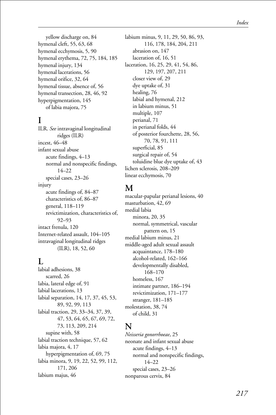yellow discharge on, 84 hymenal cleft, 55, 63, 68 hymenal ecchymosis, 5, 90 hymenal erythema, 72, 75, 184, 185 hymenal injury, 134 hymenal lacerations, 56 hymenal orifice, 32, 64 hymenal tissue, absence of, 56 hymenal transection, 28, 46, 92 hyperpigmentation, 145 of labia majora, 75

# **I**

ILR. *See* intravaginal longitudinal ridges (ILR) incest, 46–48 infant sexual abuse acute findings, 4–13 normal and nonspecific findings, 14–22 special cases, 23–26 injury acute findings of, 84–87 characteristics of, 86–87 general, 118–119 revictimization, characteristics of, 92–93 intact frenula, 120 Internet-related assault, 104–105 intravaginal longitudinal ridges (ILR), 18, 52, 60

### $\mathbf{L}$

labial adhesions, 38 scarred, 26 labia, lateral edge of, 91 labial lacerations, 13 labial separation, 14, 17, 37, 45, 53, 89, 92, 99, 113 labial traction, 29, 33–34, 37, 39, 47, 53, 64, 65, 67, 69, 72, 73, 113, 209, 214 supine with, 58 labial traction technique, 57, 62 labia majora, 4, 17 hyperpigmentation of, 69, 75 labia minora, 9, 19, 22, 52, 99, 112, 171, 206 labium majus, 46

labium minus, 9, 11, 29, 50, 86, 93, 116, 178, 184, 204, 211 abrasion on, 147 laceration of, 16, 51 laceration, 16, 25, 29, 41, 54, 86, 129, 197, 207, 211 closer view of, 29 dye uptake of, 31 healing, 76 labial and hymenal, 212 in labium minus, 51 multiple, 107 perianal, 71 in perianal folds, 44 of posterior fourchette, 28, 56, 70, 78, 91, 111 superficial, 85 surgical repair of, 54 toluidine blue dye uptake of, 43 lichen sclerosis, 208–209 linear ecchymosis, 70

# **M**

macular-papular perianal lesions, 40 masturbation, 42, 69 medial labia minora, 20, 35 normal, symmetrical, vascular pattern on, 15 medial labium minus, 21 middle-aged adult sexual assault acquaintance, 178–180 alcohol-related, 162–166 developmentally disabled, 168–170 homeless, 167 intimate partner, 186–194 revictimization, 171–177 stranger, 181–185 molestation, 38, 74 of child, 31

# **N**

*Neisseria gonorrhoeae*, 25 neonate and infant sexual abuse acute findings, 4–13 normal and nonspecific findings, 14–22 special cases, 23–26 nonparous cervix, 84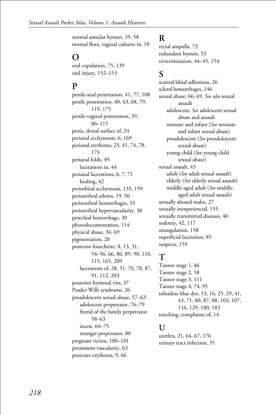normal annular hymen, 35, 58 normal flora, vaginal cultures in, 10

# **O**

oral copulation, 75, 139 oral injury, 152–153

# **P**

penile-anal penetration, 41, 77, 108 penile penetration, 40, 63, 68, 79, 119, 175 penile-vaginal penetration, 39, 86–115 penis, dorsal surface of, 24 perianal ecchymosis, 6, 169 perianal erythema, 23, 41, 74, 78, 173 perianal folds, 49 lacerations in, 44 perianal lacerations, 6, 7, 71 healing, 42 periorbital ecchymosis, 135, 159 periurethral edema, 19, 50 periurethral hemorrhages, 33 periurethral hypervascularity, 30 petechial hemorrhage, 30 photodocumentation, 114 physical abuse, 34, 69 pigmentation, 20 posterior fourchette, 8, 13, 31, 54–56, 66, 86, 89, 90, 110, 115, 165, 209 lacerations of, 28, 51, 70, 78, 87, 91, 112, 203 posterior hymenal rim, 37 Prader-Willi syndrome, 26 preadolescent sexual abuse, 57–63 adolescent perpetrator, 76–79 friend of the family perpetrator 58*–*63 incest, 64–75 stranger perpetrator, 80 pregnant victim, 100–101 prominent vascularity, 63 punctate erythema, 9, 66

### **R**

rectal ampulla, 73 redundant hymen, 53 revictimization, 44–45, 154

## **S**

scarred labial adhesions, 26 scleral hemorrhages, 146 sexual abuse, 66, 69. *See also* sexual assault adolescent, *See* adolescent sexual abuse and assault neonate and infant (*See* neonate and infant sexual abuse) preadolescent (*See* preadolescent sexual abuse) young child (*See* young child sexual abuse) sexual assault, 43 adult (*See* adult sexual assault) elderly (*See* elderly sexual assault) middle-aged adult (*See* middle aged adult sexual assault) sexually abused males, 27 sexually inexperienced, 155 sexually transmitted diseases, 40 sodomy, 42, 117 strangulation, 158 superficial laceration, 85 suspects, 159

# **T**

Tanner stage 1, 46 Tanner stage 2, 58 Tanner stage 3, 111 Tanner stage 4, 74, 95 toluidine blue dye, 13, 16, 25, 29, 41, 43, 71, 80, 87, 88, 103, 107, 116, 129, 180, 183 touching, complaints of, 14

### **U**

urethra, 21, 64, 67, 176 urinary tract infection, 35